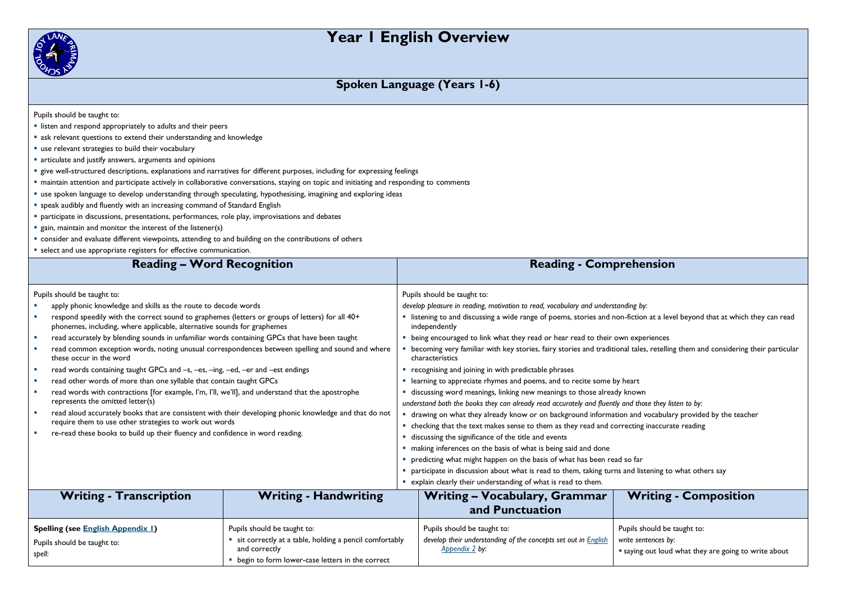# **Year 1 English Overview**



### **Spoken Language (Years 1-6)**

- listen and respond appropriately to adults and their peers
- ask relevant questions to extend their understanding and knowledge
- use relevant strategies to build their vocabulary
- **a** articulate and justify answers, arguments and opinions
- give well-structured descriptions, explanations and narratives for different purposes, including for expressing feelings
- maintain attention and participate actively in collaborative conversations, staying on topic and initiating and responding to comments
- use spoken language to develop understanding through speculating, hypothesising, imagining and exploring ideas
- speak audibly and fluently with an increasing command of Standard English
- **P** participate in discussions, presentations, performances, role play, improvisations and debates
- **E** gain, maintain and monitor the interest of the listener(s)
- consider and evaluate different viewpoints, attending to and building on the contributions of others
- select and use appropriate registers for effective communication

| select and use appropriate registers for enective communication.                                                                                                           |                              |                                                                                                       |                                                                                                                                                  |                                                    |
|----------------------------------------------------------------------------------------------------------------------------------------------------------------------------|------------------------------|-------------------------------------------------------------------------------------------------------|--------------------------------------------------------------------------------------------------------------------------------------------------|----------------------------------------------------|
| <b>Reading - Word Recognition</b>                                                                                                                                          |                              |                                                                                                       | <b>Reading - Comprehension</b>                                                                                                                   |                                                    |
|                                                                                                                                                                            |                              |                                                                                                       |                                                                                                                                                  |                                                    |
| Pupils should be taught to:                                                                                                                                                |                              |                                                                                                       | Pupils should be taught to:                                                                                                                      |                                                    |
| apply phonic knowledge and skills as the route to decode words                                                                                                             |                              |                                                                                                       | develop pleasure in reading, motivation to read, vocabulary and understanding by:                                                                |                                                    |
| respond speedily with the correct sound to graphemes (letters or groups of letters) for all 40+<br>phonemes, including, where applicable, alternative sounds for graphemes |                              |                                                                                                       | " listening to and discussing a wide range of poems, stories and non-fiction at a level beyond that at which they can read<br>independently      |                                                    |
| read accurately by blending sounds in unfamiliar words containing GPCs that have been taught                                                                               |                              |                                                                                                       | being encouraged to link what they read or hear read to their own experiences                                                                    |                                                    |
| read common exception words, noting unusual correspondences between spelling and sound and where<br>these occur in the word                                                |                              |                                                                                                       | becoming very familiar with key stories, fairy stories and traditional tales, retelling them and considering their particular<br>characteristics |                                                    |
| read words containing taught GPCs and -s, -es, -ing, -ed, -er and -est endings                                                                                             |                              |                                                                                                       | recognising and joining in with predictable phrases                                                                                              |                                                    |
| read other words of more than one syllable that contain taught GPCs                                                                                                        |                              |                                                                                                       | learning to appreciate rhymes and poems, and to recite some by heart                                                                             |                                                    |
| read words with contractions [for example, I'm, I'll, we'll], and understand that the apostrophe                                                                           |                              | discussing word meanings, linking new meanings to those already known                                 |                                                                                                                                                  |                                                    |
| represents the omitted letter(s)                                                                                                                                           |                              | understand both the books they can already read accurately and fluently and those they listen to by:  |                                                                                                                                                  |                                                    |
| read aloud accurately books that are consistent with their developing phonic knowledge and that do not                                                                     |                              | drawing on what they already know or on background information and vocabulary provided by the teacher |                                                                                                                                                  |                                                    |
| require them to use other strategies to work out words                                                                                                                     |                              | checking that the text makes sense to them as they read and correcting inaccurate reading             |                                                                                                                                                  |                                                    |
| re-read these books to build up their fluency and confidence in word reading.                                                                                              |                              | discussing the significance of the title and events                                                   |                                                                                                                                                  |                                                    |
|                                                                                                                                                                            |                              | making inferences on the basis of what is being said and done                                         |                                                                                                                                                  |                                                    |
|                                                                                                                                                                            |                              | predicting what might happen on the basis of what has been read so far                                |                                                                                                                                                  |                                                    |
|                                                                                                                                                                            |                              | participate in discussion about what is read to them, taking turns and listening to what others say   |                                                                                                                                                  |                                                    |
|                                                                                                                                                                            |                              | " explain clearly their understanding of what is read to them.                                        |                                                                                                                                                  |                                                    |
| <b>Writing - Transcription</b>                                                                                                                                             | <b>Writing - Handwriting</b> |                                                                                                       | <b>Writing - Vocabulary, Grammar</b>                                                                                                             | <b>Writing - Composition</b>                       |
|                                                                                                                                                                            |                              |                                                                                                       | and Punctuation                                                                                                                                  |                                                    |
|                                                                                                                                                                            |                              |                                                                                                       |                                                                                                                                                  |                                                    |
| <b>Spelling (see English Appendix 1)</b><br>Pupils should be taught to:                                                                                                    |                              |                                                                                                       | Pupils should be taught to:                                                                                                                      | Pupils should be taught to:                        |
| " sit correctly at a table, holding a pencil comfortably<br>Pupils should be taught to:<br>and correctly                                                                   |                              |                                                                                                       | develop their understanding of the concepts set out in English<br>Appendix 2 by:                                                                 | write sentences by:                                |
| spell:<br>• begin to form lower-case letters in the correct                                                                                                                |                              |                                                                                                       |                                                                                                                                                  | saying out loud what they are going to write about |
|                                                                                                                                                                            |                              |                                                                                                       |                                                                                                                                                  |                                                    |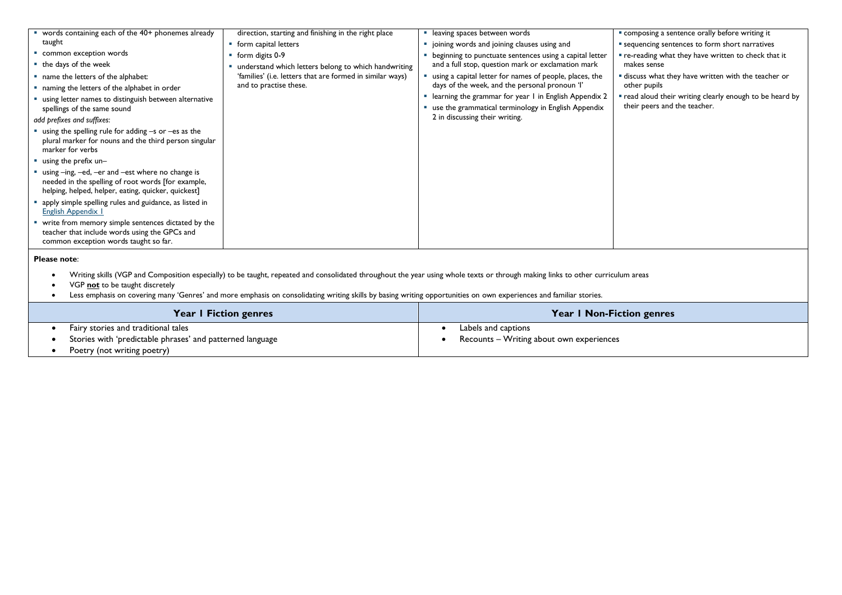| " words containing each of the 40+ phonemes already                                                                                                                                                                                                                                                                                                                                      | direction, starting and finishing in the right place                                | · leaving spaces between words                                                                                 | " composing a sentence orally before writing it                                          |
|------------------------------------------------------------------------------------------------------------------------------------------------------------------------------------------------------------------------------------------------------------------------------------------------------------------------------------------------------------------------------------------|-------------------------------------------------------------------------------------|----------------------------------------------------------------------------------------------------------------|------------------------------------------------------------------------------------------|
| taught                                                                                                                                                                                                                                                                                                                                                                                   | • form capital letters                                                              | " joining words and joining clauses using and                                                                  | " sequencing sentences to form short narratives                                          |
| common exception words                                                                                                                                                                                                                                                                                                                                                                   | • form digits 0-9                                                                   | beginning to punctuate sentences using a capital letter                                                        | " re-reading what they have written to check that it                                     |
| the days of the week                                                                                                                                                                                                                                                                                                                                                                     | understand which letters belong to which handwriting                                | and a full stop, question mark or exclamation mark                                                             | makes sense                                                                              |
| " name the letters of the alphabet:                                                                                                                                                                                                                                                                                                                                                      | 'families' (i.e. letters that are formed in similar ways)<br>and to practise these. | using a capital letter for names of people, places, the<br>days of the week, and the personal pronoun 'l'      | " discuss what they have written with the teacher or<br>other pupils                     |
| " naming the letters of the alphabet in order                                                                                                                                                                                                                                                                                                                                            |                                                                                     |                                                                                                                |                                                                                          |
| " using letter names to distinguish between alternative<br>spellings of the same sound                                                                                                                                                                                                                                                                                                   |                                                                                     | " learning the grammar for year I in English Appendix 2<br>use the grammatical terminology in English Appendix | " read aloud their writing clearly enough to be heard by<br>their peers and the teacher. |
| add prefixes and suffixes:                                                                                                                                                                                                                                                                                                                                                               |                                                                                     | 2 in discussing their writing.                                                                                 |                                                                                          |
| $\blacksquare$ using the spelling rule for adding $-$ s or $-$ es as the<br>plural marker for nouns and the third person singular<br>marker for verbs                                                                                                                                                                                                                                    |                                                                                     |                                                                                                                |                                                                                          |
| $\blacksquare$ using the prefix un-                                                                                                                                                                                                                                                                                                                                                      |                                                                                     |                                                                                                                |                                                                                          |
| " using -ing, -ed, -er and -est where no change is<br>needed in the spelling of root words [for example,<br>helping, helped, helper, eating, quicker, quickest]                                                                                                                                                                                                                          |                                                                                     |                                                                                                                |                                                                                          |
| apply simple spelling rules and guidance, as listed in<br>English Appendix I                                                                                                                                                                                                                                                                                                             |                                                                                     |                                                                                                                |                                                                                          |
| write from memory simple sentences dictated by the<br>teacher that include words using the GPCs and<br>common exception words taught so far.                                                                                                                                                                                                                                             |                                                                                     |                                                                                                                |                                                                                          |
| Please note:                                                                                                                                                                                                                                                                                                                                                                             |                                                                                     |                                                                                                                |                                                                                          |
| Writing skills (VGP and Composition especially) to be taught, repeated and consolidated throughout the year using whole texts or through making links to other curriculum areas<br>VGP not to be taught discretely<br>Less emphasis on covering many 'Genres' and more emphasis on consolidating writing skills by basing writing opportunities on own experiences and familiar stories. |                                                                                     |                                                                                                                |                                                                                          |
|                                                                                                                                                                                                                                                                                                                                                                                          | Year I Fiction genres                                                               |                                                                                                                | Year   Non-Fiction genres                                                                |

| Year I Fiction genres                                     | <b>Year I Non-Fiction genres</b>         |
|-----------------------------------------------------------|------------------------------------------|
| Fairy stories and traditional tales                       | Labels and captions                      |
| Stories with 'predictable phrases' and patterned language | Recounts – Writing about own experiences |
| Poetry (not writing poetry)                               |                                          |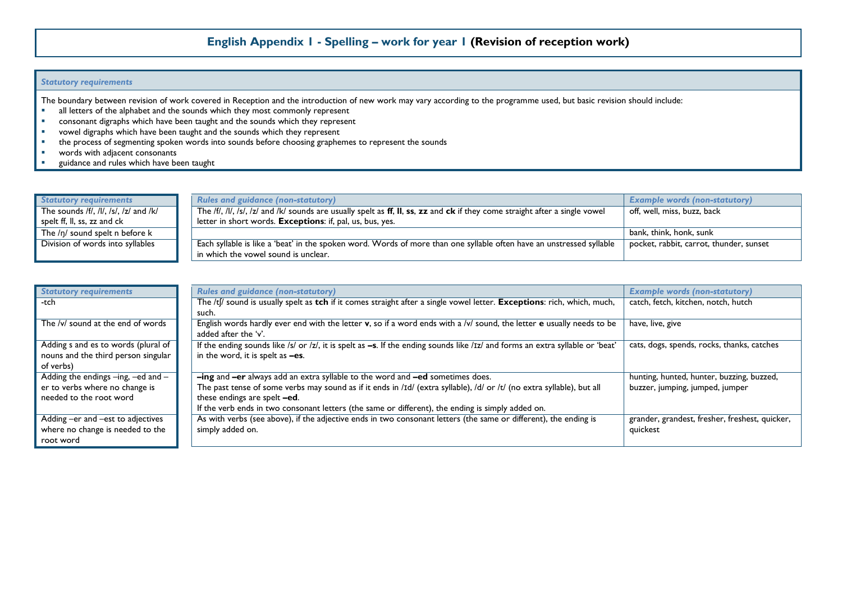## **English Appendix 1 - Spelling – work for year 1 (Revision of reception work)**

#### *Statutory requirements*

The boundary between revision of work covered in Reception and the introduction of new work may vary according to the programme used, but basic revision should include:

- all letters of the alphabet and the sounds which they most commonly represent<br> **Example 2** consonant digraphs which have been taught and the sounds which they represent
- consonant digraphs which have been taught and the sounds which they represent
- vowel digraphs which have been taught and the sounds which they represent<br>
the process of segmenting spoken words into sounds before choosing graphe
- the process of segmenting spoken words into sounds before choosing graphemes to represent the sounds<br>vords with adjacent consonants
- words with adjacent consonants
- **guidance and rules which have been taught**

| Statutory requirements                | <b>Rules and guidance (non-statutory)</b>                                                                                   | <b>Example words (non-statutory)</b>    |
|---------------------------------------|-----------------------------------------------------------------------------------------------------------------------------|-----------------------------------------|
| The sounds /f/, /l/, /s/, /z/ and /k/ | The /f/, /l/, /s/, /z/ and /k/ sounds are usually spelt as ff, II, ss, zz and ck if they come straight after a single vowel | off, well, miss, buzz, back             |
| spelt ff, ll, ss, zz and ck           | letter in short words. <b>Exceptions</b> : if, pal, us, bus, yes.                                                           |                                         |
| The $/\eta$ sound spelt n before $k$  |                                                                                                                             | bank, think, honk, sunk '               |
| Division of words into syllables      | Each syllable is like a 'beat' in the spoken word. Words of more than one syllable often have an unstressed syllable        | pocket, rabbit, carrot, thunder, sunset |
|                                       | in which the vowel sound is unclear.                                                                                        |                                         |

| <b>Statutory requirements</b>              | <b>Rules and guidance (non-statutory)</b>                                                                                        | <b>Example words (non-statutory)</b>           |
|--------------------------------------------|----------------------------------------------------------------------------------------------------------------------------------|------------------------------------------------|
| -tch                                       | The /t[/ sound is usually spelt as tch if it comes straight after a single vowel letter. Exceptions: rich, which, much,          | catch, fetch, kitchen, notch, hutch            |
|                                            | such.                                                                                                                            |                                                |
| The /v/ sound at the end of words          | English words hardly ever end with the letter v, so if a word ends with a /v/ sound, the letter e usually needs to be            | have, live, give                               |
|                                            | added after the 'v'.                                                                                                             |                                                |
| Adding s and es to words (plural of        | If the ending sounds like /s/ or /z/, it is spelt as $-s$ . If the ending sounds like /Iz/ and forms an extra syllable or 'beat' | cats, dogs, spends, rocks, thanks, catches     |
| nouns and the third person singular        | in the word, it is spelt as -es.                                                                                                 |                                                |
| of verbs)                                  |                                                                                                                                  |                                                |
| Adding the endings $-$ ing, $-$ ed and $-$ | -ing and -er always add an extra syllable to the word and -ed sometimes does.                                                    | hunting, hunted, hunter, buzzing, buzzed,      |
| er to verbs where no change is             | The past tense of some verbs may sound as if it ends in /Id/ (extra syllable), /d/ or /t/ (no extra syllable), but all           | buzzer, jumping, jumped, jumper                |
| needed to the root word                    | these endings are spelt -ed.                                                                                                     |                                                |
|                                            | If the verb ends in two consonant letters (the same or different), the ending is simply added on.                                |                                                |
| Adding -er and -est to adjectives          | As with verbs (see above), if the adjective ends in two consonant letters (the same or different), the ending is                 | grander, grandest, fresher, freshest, quicker, |
| where no change is needed to the           | simply added on.                                                                                                                 | quickest                                       |
| root word                                  |                                                                                                                                  |                                                |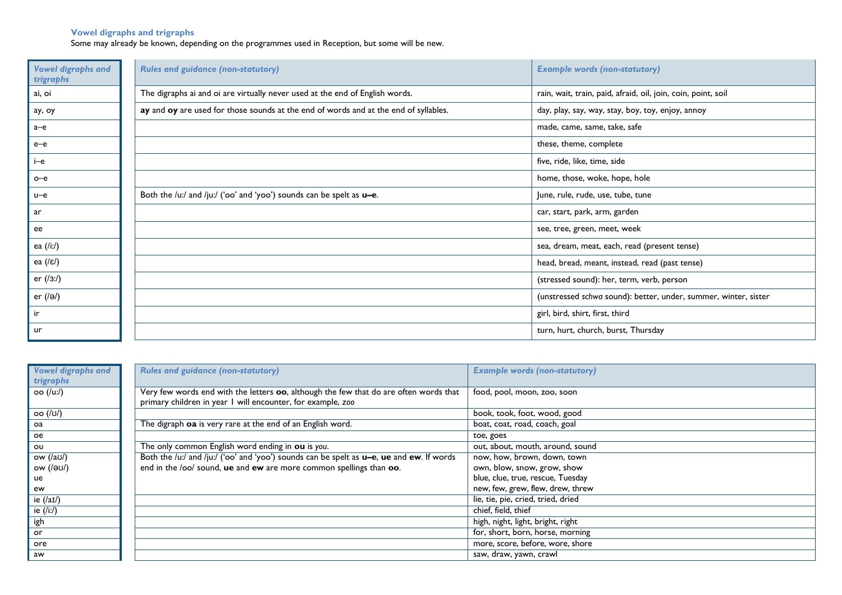#### **Vowel digraphs and trigraphs**

Some may already be known, depending on the programmes used in Reception, but some will be new.

| <b>Vowel digraphs and</b><br>trigraphs | <b>Rules and guidance (non-statutory)</b>                                            | <b>Example words (non-statutory)</b>                            |
|----------------------------------------|--------------------------------------------------------------------------------------|-----------------------------------------------------------------|
| ai, oi                                 | The digraphs ai and oi are virtually never used at the end of English words.         | rain, wait, train, paid, afraid, oil, join, coin, point, soil   |
| ау, оу                                 | ay and oy are used for those sounds at the end of words and at the end of syllables. | day, play, say, way, stay, boy, toy, enjoy, annoy               |
| $a$ - $e$                              |                                                                                      | made, came, same, take, safe                                    |
| $e$ - $e$                              |                                                                                      | these, theme, complete                                          |
| i-e                                    |                                                                                      | five, ride, like, time, side                                    |
| $o$ - $e$                              |                                                                                      | home, those, woke, hope, hole                                   |
| $u-e$                                  | Both the /u:/ and /ju:/ ('oo' and 'yoo') sounds can be spelt as u-e.                 | June, rule, rude, use, tube, tune                               |
| ar                                     |                                                                                      | car, start, park, arm, garden                                   |
| ee                                     |                                                                                      | see, tree, green, meet, week                                    |
| ea (/i:/)                              |                                                                                      | sea, dream, meat, each, read (present tense)                    |
| ea $(\sqrt{\epsilon})$                 |                                                                                      | head, bread, meant, instead, read (past tense)                  |
| er $(13:1)$                            |                                                                                      | (stressed sound): her, term, verb, person                       |
| er $(\sqrt{e})$                        |                                                                                      | (unstressed schwa sound): better, under, summer, winter, sister |
| ir                                     |                                                                                      | girl, bird, shirt, first, third                                 |
| ur                                     |                                                                                      | turn, hurt, church, burst, Thursday                             |

| <b>Vowel digraphs and</b> | <b>Rules and guidance (non-statutory)</b>                                                | <b>Example words (non-statutory)</b> |
|---------------------------|------------------------------------------------------------------------------------------|--------------------------------------|
| trigraphs                 |                                                                                          |                                      |
| oo (/u:/)                 | Very few words end with the letters oo, although the few that do are often words that    | food, pool, moon, zoo, soon          |
|                           | primary children in year I will encounter, for example, zoo                              |                                      |
| οο (/ʊ/)                  |                                                                                          | book, took, foot, wood, good         |
| oa                        | The digraph oa is very rare at the end of an English word.                               | boat, coat, road, coach, goal        |
| oe                        |                                                                                          | toe, goes                            |
| ou                        | The only common English word ending in ou is you.                                        | out, about, mouth, around, sound     |
| ow (/aʊ/)                 | Both the /uː/ and /juː/ ('oo' and 'yoo') sounds can be spelt as u-e, ue and ew. If words | now, how, brown, down, town          |
| ow (/əʊ/)                 | end in the /oo/ sound, ue and ew are more common spellings than oo.                      | own, blow, snow, grow, show          |
| ue                        |                                                                                          | blue, clue, true, rescue, Tuesday    |
| ew                        |                                                                                          | new, few, grew, flew, drew, threw    |
| ie $(\lambda)$            |                                                                                          | lie, tie, pie, cried, tried, dried   |
| ie (/i:/)                 |                                                                                          | chief, field, thief                  |
| igh                       |                                                                                          | high, night, light, bright, right    |
| or                        |                                                                                          | for, short, born, horse, morning     |
| ore                       |                                                                                          | more, score, before, wore, shore     |
| aw                        |                                                                                          | saw, draw, yawn, crawl               |